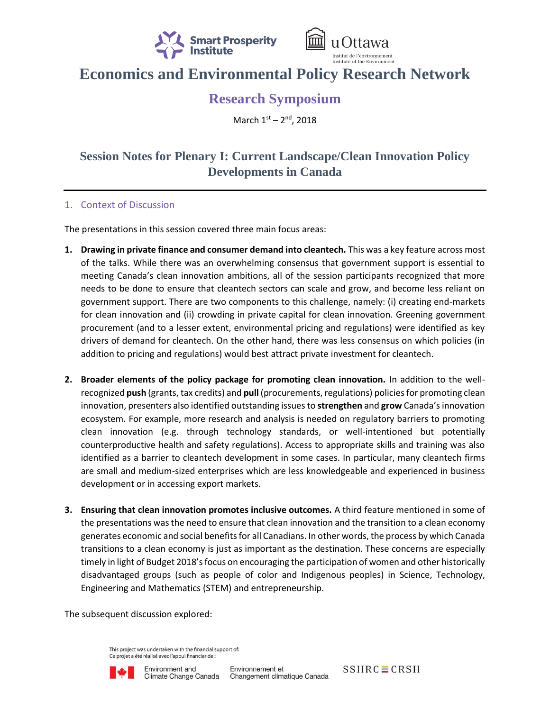



## **Economics and Environmental Policy Research Network**

## **Research Symposium**

March 1st - 2<sup>nd</sup>, 2018

## **Session Notes for Plenary I: Current Landscape/Clean Innovation Policy Developments in Canada**

## 1. Context of Discussion

The presentations in this session covered three main focus areas:

- **1. Drawing in private finance and consumer demand into cleantech.** This was a key feature across most of the talks. While there was an overwhelming consensus that government support is essential to meeting Canada's clean innovation ambitions, all of the session participants recognized that more needs to be done to ensure that cleantech sectors can scale and grow, and become less reliant on government support. There are two components to this challenge, namely: (i) creating end-markets for clean innovation and (ii) crowding in private capital for clean innovation. Greening government procurement (and to a lesser extent, environmental pricing and regulations) were identified as key drivers of demand for cleantech. On the other hand, there was less consensus on which policies (in addition to pricing and regulations) would best attract private investment for cleantech.
- **2. Broader elements of the policy package for promoting clean innovation.** In addition to the wellrecognized **push** (grants, tax credits) and **pull** (procurements, regulations) policies for promoting clean innovation, presenters also identified outstanding issues to **strengthen** and **grow** Canada's innovation ecosystem. For example, more research and analysis is needed on regulatory barriers to promoting clean innovation (e.g. through technology standards, or well-intentioned but potentially counterproductive health and safety regulations). Access to appropriate skills and training was also identified as a barrier to cleantech development in some cases. In particular, many cleantech firms are small and medium-sized enterprises which are less knowledgeable and experienced in business development or in accessing export markets.
- **3. Ensuring that clean innovation promotes inclusive outcomes.** A third feature mentioned in some of the presentations was the need to ensure that clean innovation and the transition to a clean economy generates economic and social benefits for all Canadians. In other words, the process by which Canada transitions to a clean economy is just as important as the destination. These concerns are especially timely in light of Budget 2018's focus on encouraging the participation of women and other historically disadvantaged groups (such as people of color and Indigenous peoples) in Science, Technology, Engineering and Mathematics (STEM) and entrepreneurship.

The subsequent discussion explored:

This project was undertaken with the financial support of: Ce projet a été réalisé avec l'appui financier de :



 $SSHRC \equiv CRSH$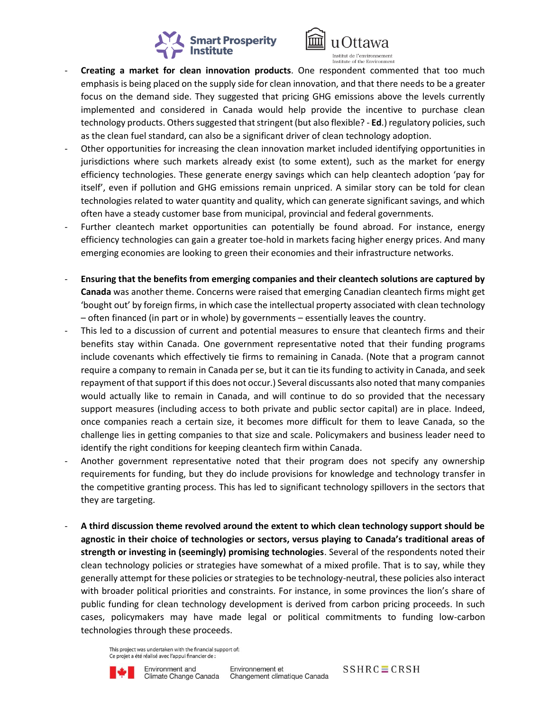



- Creating a market for clean innovation products. One respondent commented that too much emphasis is being placed on the supply side for clean innovation, and that there needs to be a greater focus on the demand side. They suggested that pricing GHG emissions above the levels currently implemented and considered in Canada would help provide the incentive to purchase clean technology products. Others suggested that stringent (but also flexible? - **Ed**.) regulatory policies, such as the clean fuel standard, can also be a significant driver of clean technology adoption.
- Other opportunities for increasing the clean innovation market included identifying opportunities in jurisdictions where such markets already exist (to some extent), such as the market for energy efficiency technologies. These generate energy savings which can help cleantech adoption 'pay for itself', even if pollution and GHG emissions remain unpriced. A similar story can be told for clean technologies related to water quantity and quality, which can generate significant savings, and which often have a steady customer base from municipal, provincial and federal governments.
- Further cleantech market opportunities can potentially be found abroad. For instance, energy efficiency technologies can gain a greater toe-hold in markets facing higher energy prices. And many emerging economies are looking to green their economies and their infrastructure networks.
- **Ensuring that the benefits from emerging companies and their cleantech solutions are captured by Canada** was another theme. Concerns were raised that emerging Canadian cleantech firms might get 'bought out' by foreign firms, in which case the intellectual property associated with clean technology – often financed (in part or in whole) by governments – essentially leaves the country.
- This led to a discussion of current and potential measures to ensure that cleantech firms and their benefits stay within Canada. One government representative noted that their funding programs include covenants which effectively tie firms to remaining in Canada. (Note that a program cannot require a company to remain in Canada per se, but it can tie its funding to activity in Canada, and seek repayment of that support if this does not occur.) Several discussants also noted that many companies would actually like to remain in Canada, and will continue to do so provided that the necessary support measures (including access to both private and public sector capital) are in place. Indeed, once companies reach a certain size, it becomes more difficult for them to leave Canada, so the challenge lies in getting companies to that size and scale. Policymakers and business leader need to identify the right conditions for keeping cleantech firm within Canada.
- Another government representative noted that their program does not specify any ownership requirements for funding, but they do include provisions for knowledge and technology transfer in the competitive granting process. This has led to significant technology spillovers in the sectors that they are targeting.
- **A third discussion theme revolved around the extent to which clean technology support should be agnostic in their choice of technologies or sectors, versus playing to Canada's traditional areas of strength or investing in (seemingly) promising technologies**. Several of the respondents noted their clean technology policies or strategies have somewhat of a mixed profile. That is to say, while they generally attempt for these policies or strategies to be technology-neutral, these policies also interact with broader political priorities and constraints. For instance, in some provinces the lion's share of public funding for clean technology development is derived from carbon pricing proceeds. In such cases, policymakers may have made legal or political commitments to funding low-carbon technologies through these proceeds.

This project was undertaken with the financial support of: Ce projet a été réalisé avec l'appui financier de :

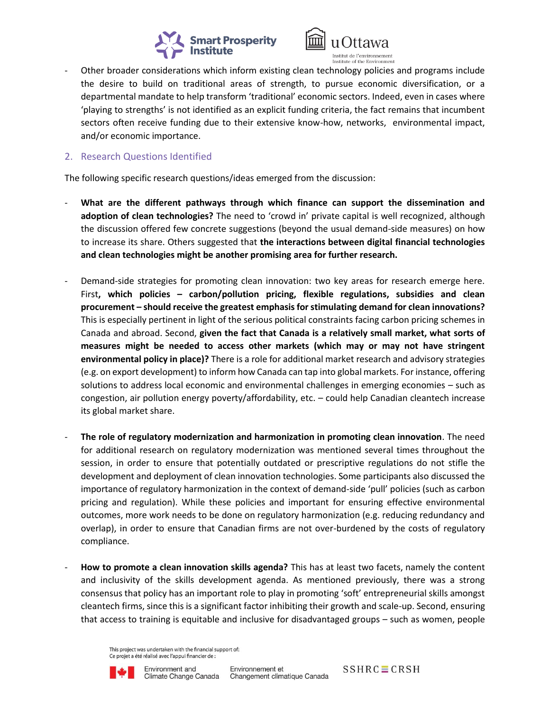



- Other broader considerations which inform existing clean technology policies and programs include the desire to build on traditional areas of strength, to pursue economic diversification, or a departmental mandate to help transform 'traditional' economic sectors. Indeed, even in cases where 'playing to strengths' is not identified as an explicit funding criteria, the fact remains that incumbent sectors often receive funding due to their extensive know-how, networks, environmental impact, and/or economic importance.
- 2. Research Questions Identified

The following specific research questions/ideas emerged from the discussion:

- What are the different pathways through which finance can support the dissemination and **adoption of clean technologies?** The need to 'crowd in' private capital is well recognized, although the discussion offered few concrete suggestions (beyond the usual demand-side measures) on how to increase its share. Others suggested that **the interactions between digital financial technologies and clean technologies might be another promising area for further research.**
- Demand-side strategies for promoting clean innovation: two key areas for research emerge here. First**, which policies – carbon/pollution pricing, flexible regulations, subsidies and clean procurement – should receive the greatest emphasis for stimulating demand for clean innovations?** This is especially pertinent in light of the serious political constraints facing carbon pricing schemes in Canada and abroad. Second, **given the fact that Canada is a relatively small market, what sorts of measures might be needed to access other markets (which may or may not have stringent environmental policy in place)?** There is a role for additional market research and advisory strategies (e.g. on export development) to inform how Canada can tap into global markets. For instance, offering solutions to address local economic and environmental challenges in emerging economies – such as congestion, air pollution energy poverty/affordability, etc. – could help Canadian cleantech increase its global market share.
- **The role of regulatory modernization and harmonization in promoting clean innovation**. The need for additional research on regulatory modernization was mentioned several times throughout the session, in order to ensure that potentially outdated or prescriptive regulations do not stifle the development and deployment of clean innovation technologies. Some participants also discussed the importance of regulatory harmonization in the context of demand-side 'pull' policies (such as carbon pricing and regulation). While these policies and important for ensuring effective environmental outcomes, more work needs to be done on regulatory harmonization (e.g. reducing redundancy and overlap), in order to ensure that Canadian firms are not over-burdened by the costs of regulatory compliance.
- **How to promote a clean innovation skills agenda?** This has at least two facets, namely the content and inclusivity of the skills development agenda. As mentioned previously, there was a strong consensus that policy has an important role to play in promoting 'soft' entrepreneurial skills amongst cleantech firms, since this is a significant factor inhibiting their growth and scale-up. Second, ensuring that access to training is equitable and inclusive for disadvantaged groups – such as women, people

This project was undertaken with the financial support of: Ce projet a été réalisé avec l'appui financier de :



 $SSHRC \equiv CRSH$